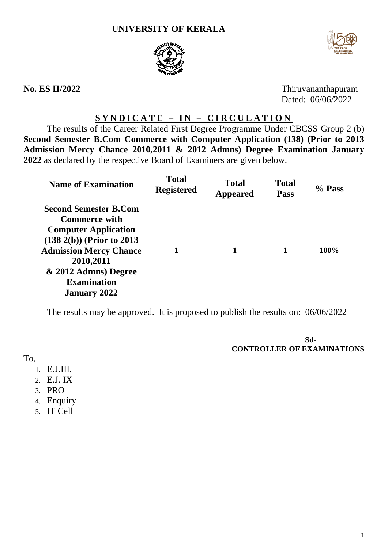



**No. ES II/2022** Thiruvananthapuram Dated: 06/06/2022

# **S Y N D I C A T E – I N – C I R C U L A T I O N**

The results of the Career Related First Degree Programme Under CBCSS Group 2 (b) **Second Semester B.Com Commerce with Computer Application (138) (Prior to 2013 Admission Mercy Chance 2010,2011 & 2012 Admns) Degree Examination January 2022** as declared by the respective Board of Examiners are given below.

| <b>Name of Examination</b>                                                                                                                                                                                                              | <b>Total</b><br><b>Registered</b> | <b>Total</b><br><b>Appeared</b> | <b>Total</b><br><b>Pass</b> | % Pass |
|-----------------------------------------------------------------------------------------------------------------------------------------------------------------------------------------------------------------------------------------|-----------------------------------|---------------------------------|-----------------------------|--------|
| <b>Second Semester B.Com</b><br><b>Commerce with</b><br><b>Computer Application</b><br>$(138\ 2(b))$ (Prior to 2013)<br><b>Admission Mercy Chance</b><br>2010,2011<br>& 2012 Admns) Degree<br><b>Examination</b><br><b>January 2022</b> |                                   |                                 |                             | 100%   |

The results may be approved. It is proposed to publish the results on: 06/06/2022

**Sd-CONTROLLER OF EXAMINATIONS**

To,

- 1. E.J.III,
- 2. E.J. IX
- 3. PRO
- 4. Enquiry
- 5. IT Cell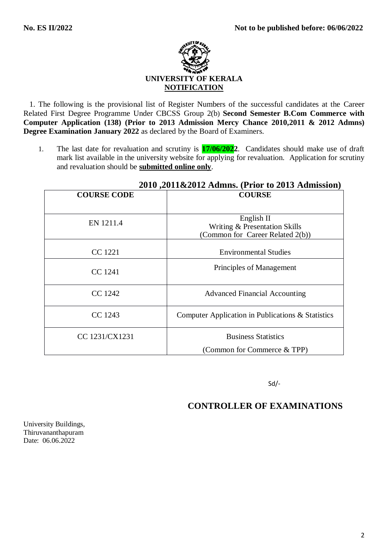

 1. The following is the provisional list of Register Numbers of the successful candidates at the Career Related First Degree Programme Under CBCSS Group 2(b) **Second Semester B.Com Commerce with Computer Application (138) (Prior to 2013 Admission Mercy Chance 2010,2011 & 2012 Admns) Degree Examination January 2022** as declared by the Board of Examiners.

1. The last date for revaluation and scrutiny is **17/06/2022**. Candidates should make use of draft mark list available in the university website for applying for revaluation. Application for scrutiny and revaluation should be **submitted online only**.

| 2010, 2011 $\alpha$ 2012 $\alpha$ uniis, $\alpha$ itul to 2013 $\alpha$ uniissiuli |                                                   |  |  |
|------------------------------------------------------------------------------------|---------------------------------------------------|--|--|
| <b>COURSE CODE</b>                                                                 | <b>COURSE</b>                                     |  |  |
|                                                                                    |                                                   |  |  |
| EN 1211.4                                                                          | English II                                        |  |  |
|                                                                                    | Writing & Presentation Skills                     |  |  |
|                                                                                    | (Common for Career Related 2(b))                  |  |  |
|                                                                                    |                                                   |  |  |
| CC 1221                                                                            | <b>Environmental Studies</b>                      |  |  |
|                                                                                    |                                                   |  |  |
| CC 1241                                                                            | Principles of Management                          |  |  |
|                                                                                    |                                                   |  |  |
| CC 1242                                                                            | <b>Advanced Financial Accounting</b>              |  |  |
|                                                                                    |                                                   |  |  |
| CC 1243                                                                            | Computer Application in Publications & Statistics |  |  |
|                                                                                    |                                                   |  |  |
| CC 1231/CX1231                                                                     | <b>Business Statistics</b>                        |  |  |
|                                                                                    |                                                   |  |  |
|                                                                                    | (Common for Commerce & TPP)                       |  |  |

## **2010 ,2011&2012 Admns. (Prior to 2013 Admission)**

Sd/-

## **CONTROLLER OF EXAMINATIONS**

University Buildings, Thiruvananthapuram Date: 06.06.2022